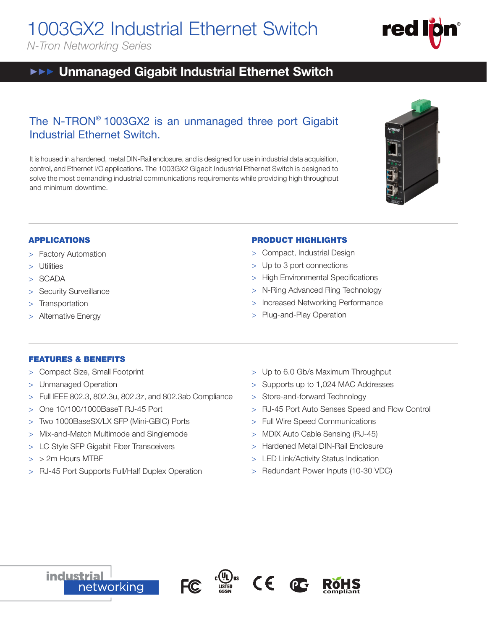1003GX2 Industrial Ethernet Switch

*N-Tron Networking Series*

# **EXECT** Unmanaged Gigabit Industrial Ethernet Switch

## The N-TRON® 1003GX2 is an unmanaged three port Gigabit Industrial Ethernet Switch.

It is housed in a hardened, metal DIN-Rail enclosure, and is designed for use in industrial data acquisition, control, and Ethernet I/O applications. The 1003GX2 Gigabit Industrial Ethernet Switch is designed to solve the most demanding industrial communications requirements while providing high throughput and minimum downtime.



red

## APPLICATIONS

- > Factory Automation
- > Utilities
- > SCADA
- > Security Surveillance
- > Transportation
- Alternative Energy

### PRODUCT HIGHLIGHTS

- > Compact, Industrial Design
- > Up to 3 port connections
- > High Environmental Specifications
- > N-Ring Advanced Ring Technology
- > Increased Networking Performance
- > Plug-and-Play Operation

### FEATURES & BENEFITS

- > Compact Size, Small Footprint
- > Unmanaged Operation
- > Full IEEE 802.3, 802.3u, 802.3z, and 802.3ab Compliance
- > One 10/100/1000BaseT RJ-45 Port
- > Two 1000BaseSX/LX SFP (Mini-GBIC) Ports
- > Mix-and-Match Multimode and Singlemode
- > LC Style SFP Gigabit Fiber Transceivers
- > > 2m Hours MTBF
- > RJ-45 Port Supports Full/Half Duplex Operation
- > Up to 6.0 Gb/s Maximum Throughput
- > Supports up to 1,024 MAC Addresses
- > Store-and-forward Technology
- > RJ-45 Port Auto Senses Speed and Flow Control

**compliant**

- > Full Wire Speed Communications
- > MDIX Auto Cable Sensing (RJ-45)
- > Hardened Metal DIN-Rail Enclosure
- LED Link/Activity Status Indication
- > Redundant Power Inputs (10-30 VDC)